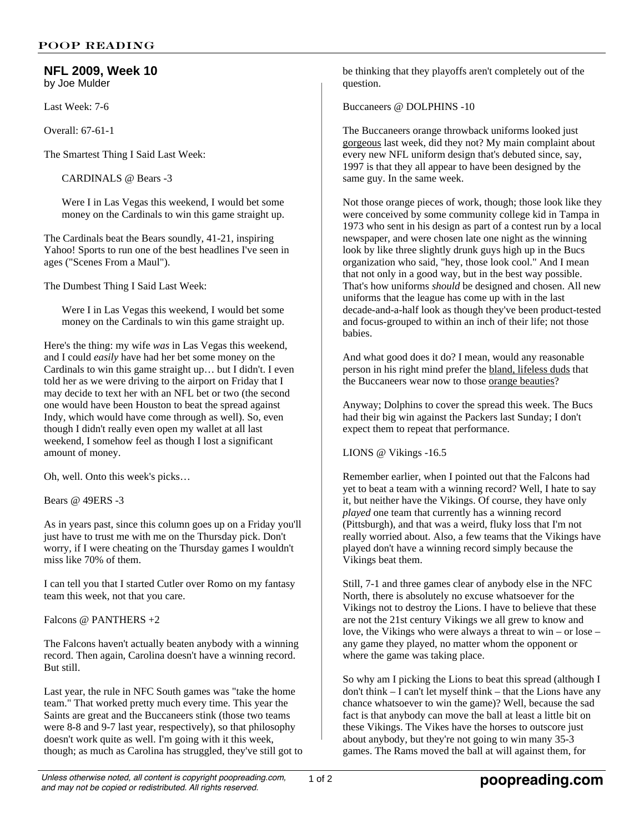## **NFL 2009, Week 10** by Joe Mulder

Last Week: 7-6

Overall: 67-61-1

The Smartest Thing I Said Last Week:

CARDINALS @ Bears -3

Were I in Las Vegas this weekend, I would bet some money on the Cardinals to win this game straight up.

The Cardinals beat the Bears soundly, 41-21, inspiring Yahoo! Sports to run one of the best headlines I've seen in ages ("Scenes From a Maul").

The Dumbest Thing I Said Last Week:

Were I in Las Vegas this weekend, I would bet some money on the Cardinals to win this game straight up.

Here's the thing: my wife *was* in Las Vegas this weekend, and I could *easily* have had her bet some money on the Cardinals to win this game straight up… but I didn't. I even told her as we were driving to the airport on Friday that I may decide to text her with an NFL bet or two (the second one would have been Houston to beat the spread against Indy, which would have come through as well). So, even though I didn't really even open my wallet at all last weekend, I somehow feel as though I lost a significant amount of money.

Oh, well. Onto this week's picks…

Bears @ 49ERS -3

As in years past, since this column goes up on a Friday you'll just have to trust me with me on the Thursday pick. Don't worry, if I were cheating on the Thursday games I wouldn't miss like 70% of them.

I can tell you that I started Cutler over Romo on my fantasy team this week, not that you care.

Falcons @ PANTHERS +2

The Falcons haven't actually beaten anybody with a winning record. Then again, Carolina doesn't have a winning record. But still.

Last year, the rule in NFC South games was "take the home team." That worked pretty much every time. This year the Saints are great and the Buccaneers stink (those two teams were 8-8 and 9-7 last year, respectively), so that philosophy doesn't work quite as well. I'm going with it this week, though; as much as Carolina has struggled, they've still got to be thinking that they playoffs aren't completely out of the question.

Buccaneers @ DOLPHINS -10

The Buccaneers orange throwback uniforms looked just gorgeous last week, did they not? My main complaint about every new NFL uniform design that's debuted since, say, 1997 is that they all appear to have been designed by the same guy. In the same week.

Not those orange pieces of work, though; those look like they were conceived by some community college kid in Tampa in 1973 who sent in his design as part of a contest run by a local newspaper, and were chosen late one night as the winning look by like three slightly drunk guys high up in the Bucs organization who said, "hey, those look cool." And I mean that not only in a good way, but in the best way possible. That's how uniforms *should* be designed and chosen. All new uniforms that the league has come up with in the last decade-and-a-half look as though they've been product-tested and focus-grouped to within an inch of their life; not those babies.

And what good does it do? I mean, would any reasonable person in his right mind prefer the bland, lifeless duds that the Buccaneers wear now to those orange beauties?

Anyway; Dolphins to cover the spread this week. The Bucs had their big win against the Packers last Sunday; I don't expect them to repeat that performance.

LIONS @ Vikings -16.5

Remember earlier, when I pointed out that the Falcons had yet to beat a team with a winning record? Well, I hate to say it, but neither have the Vikings. Of course, they have only *played* one team that currently has a winning record (Pittsburgh), and that was a weird, fluky loss that I'm not really worried about. Also, a few teams that the Vikings have played don't have a winning record simply because the Vikings beat them.

Still, 7-1 and three games clear of anybody else in the NFC North, there is absolutely no excuse whatsoever for the Vikings not to destroy the Lions. I have to believe that these are not the 21st century Vikings we all grew to know and love, the Vikings who were always a threat to win – or lose – any game they played, no matter whom the opponent or where the game was taking place.

So why am I picking the Lions to beat this spread (although I don't think – I can't let myself think – that the Lions have any chance whatsoever to win the game)? Well, because the sad fact is that anybody can move the ball at least a little bit on these Vikings. The Vikes have the horses to outscore just about anybody, but they're not going to win many 35-3 games. The Rams moved the ball at will against them, for